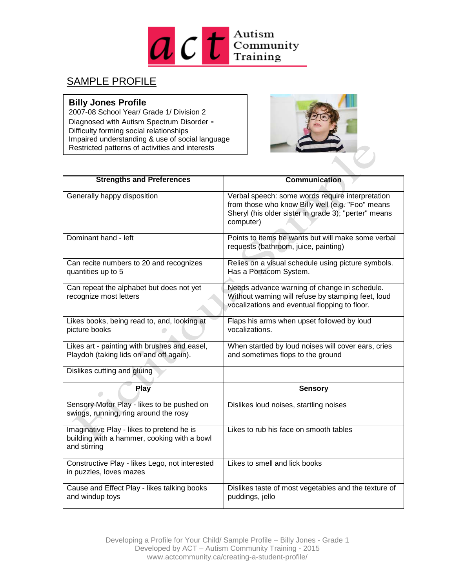

## SAMPLE PROFILE

## **Billy Jones Profile**

2007-08 School Year/ Grade 1/ Division 2 Diagnosed with Autism Spectrum Disorder **-** Difficulty forming social relationships Impaired understanding & use of social language Restricted patterns of activities and interests



| <b>Strengths and Preferences</b>                                                                         | <b>Communication</b>                                                                                                                                                      |
|----------------------------------------------------------------------------------------------------------|---------------------------------------------------------------------------------------------------------------------------------------------------------------------------|
| Generally happy disposition                                                                              | Verbal speech: some words require interpretation<br>from those who know Billy well (e.g. "Foo" means<br>Sheryl (his older sister in grade 3); "perter" means<br>computer) |
| Dominant hand - left                                                                                     | Points to items he wants but will make some verbal<br>requests (bathroom, juice, painting)                                                                                |
| Can recite numbers to 20 and recognizes<br>quantities up to 5                                            | Relies on a visual schedule using picture symbols.<br>Has a Portacom System.                                                                                              |
| Can repeat the alphabet but does not yet<br>recognize most letters                                       | Needs advance warning of change in schedule.<br>Without warning will refuse by stamping feet, loud<br>vocalizations and eventual flopping to floor.                       |
| Likes books, being read to, and, looking at<br>picture books                                             | Flaps his arms when upset followed by loud<br>vocalizations.                                                                                                              |
| Likes art - painting with brushes and easel,<br>Playdoh (taking lids on and off again).                  | When startled by loud noises will cover ears, cries<br>and sometimes flops to the ground                                                                                  |
| Dislikes cutting and gluing                                                                              |                                                                                                                                                                           |
| Play                                                                                                     | <b>Sensory</b>                                                                                                                                                            |
| Sensory Motor Play - likes to be pushed on<br>swings, running, ring around the rosy                      | Dislikes loud noises, startling noises                                                                                                                                    |
| Imaginative Play - likes to pretend he is<br>building with a hammer, cooking with a bowl<br>and stirring | Likes to rub his face on smooth tables                                                                                                                                    |
| Constructive Play - likes Lego, not interested<br>in puzzles, loves mazes                                | Likes to smell and lick books                                                                                                                                             |
| Cause and Effect Play - likes talking books<br>and windup toys                                           | Dislikes taste of most vegetables and the texture of<br>puddings, jello                                                                                                   |